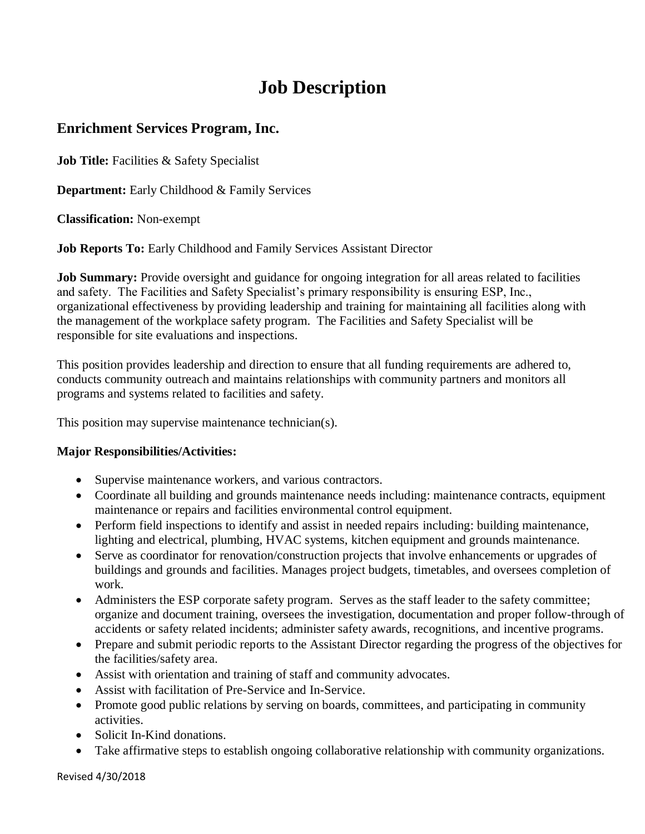# **Job Description**

## **Enrichment Services Program, Inc.**

**Job Title:** Facilities & Safety Specialist

**Department:** Early Childhood & Family Services

**Classification:** Non-exempt

**Job Reports To:** Early Childhood and Family Services Assistant Director

**Job Summary:** Provide oversight and guidance for ongoing integration for all areas related to facilities and safety. The Facilities and Safety Specialist's primary responsibility is ensuring ESP, Inc., organizational effectiveness by providing leadership and training for maintaining all facilities along with the management of the workplace safety program. The Facilities and Safety Specialist will be responsible for site evaluations and inspections.

This position provides leadership and direction to ensure that all funding requirements are adhered to, conducts community outreach and maintains relationships with community partners and monitors all programs and systems related to facilities and safety.

This position may supervise maintenance technician(s).

#### **Major Responsibilities/Activities:**

- Supervise maintenance workers, and various contractors.
- Coordinate all building and grounds maintenance needs including: maintenance contracts, equipment maintenance or repairs and facilities environmental control equipment.
- Perform field inspections to identify and assist in needed repairs including: building maintenance, lighting and electrical, plumbing, HVAC systems, kitchen equipment and grounds maintenance.
- Serve as coordinator for renovation/construction projects that involve enhancements or upgrades of buildings and grounds and facilities. Manages project budgets, timetables, and oversees completion of work.
- Administers the ESP corporate safety program. Serves as the staff leader to the safety committee; organize and document training, oversees the investigation, documentation and proper follow-through of accidents or safety related incidents; administer safety awards, recognitions, and incentive programs.
- Prepare and submit periodic reports to the Assistant Director regarding the progress of the objectives for the facilities/safety area.
- Assist with orientation and training of staff and community advocates.
- Assist with facilitation of Pre-Service and In-Service.
- Promote good public relations by serving on boards, committees, and participating in community activities.
- Solicit In-Kind donations.
- Take affirmative steps to establish ongoing collaborative relationship with community organizations.